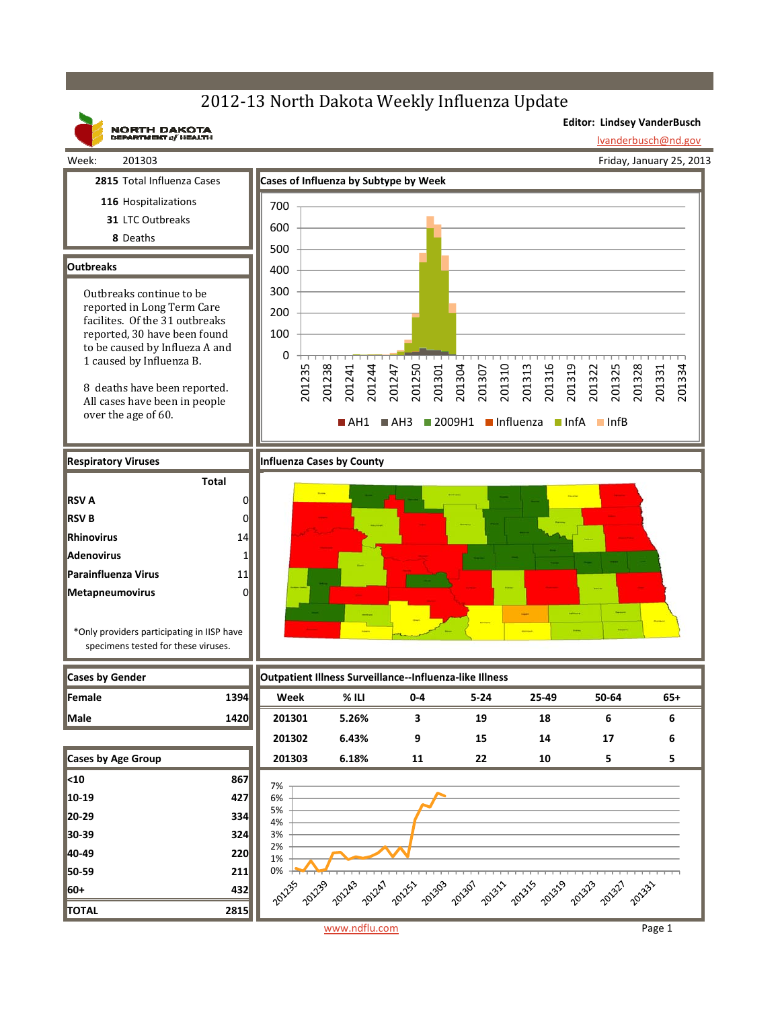## 2012-13 North Dakota Weekly Influenza Update